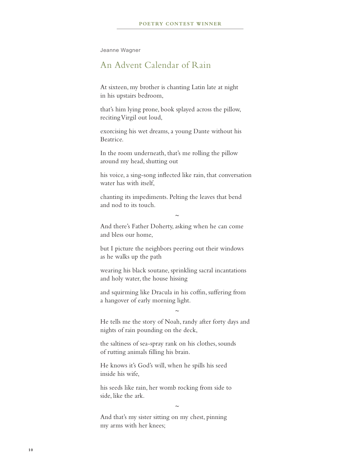Jeanne Wagner

## An Advent Calendar of Rain

At sixteen, my brother is chanting Latin late at night in his upstairs bedroom,

that's him lying prone, book splayed across the pillow, reciting Virgil out loud,

exorcising his wet dreams, a young Dante without his Beatrice.

In the room underneath, that's me rolling the pillow around my head, shutting out

his voice, a sing-song inflected like rain, that conversation water has with itself,

chanting its impediments. Pelting the leaves that bend and nod to its touch.

And there's Father Doherty, asking when he can come and bless our home,

*~*

but I picture the neighbors peering out their windows as he walks up the path

wearing his black soutane, sprinkling sacral incantations and holy water, the house hissing

and squirming like Dracula in his coffin, suffering from a hangover of early morning light.

He tells me the story of Noah, randy after forty days and nights of rain pounding on the deck,

*~*

the saltiness of sea-spray rank on his clothes, sounds of rutting animals filling his brain.

He knows it's God's will, when he spills his seed inside his wife,

his seeds like rain, her womb rocking from side to side, like the ark.

*~*

And that's my sister sitting on my chest, pinning my arms with her knees;